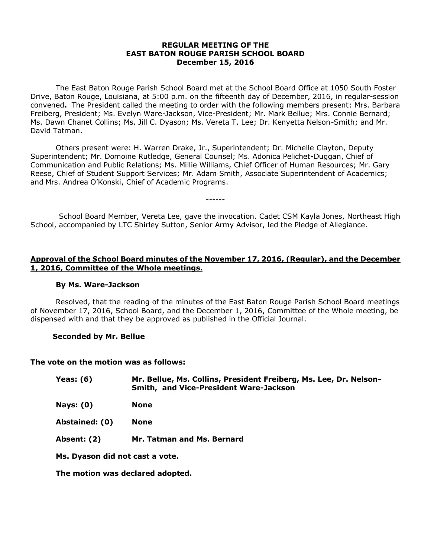## **REGULAR MEETING OF THE EAST BATON ROUGE PARISH SCHOOL BOARD December 15, 2016**

The East Baton Rouge Parish School Board met at the School Board Office at 1050 South Foster Drive, Baton Rouge, Louisiana, at 5:00 p.m. on the fifteenth day of December, 2016, in regular-session convened**.** The President called the meeting to order with the following members present: Mrs. Barbara Freiberg, President; Ms. Evelyn Ware-Jackson, Vice-President; Mr. Mark Bellue; Mrs. Connie Bernard; Ms. Dawn Chanet Collins; Ms. Jill C. Dyason; Ms. Vereta T. Lee; Dr. Kenyetta Nelson-Smith; and Mr. David Tatman.

Others present were: H. Warren Drake, Jr., Superintendent; Dr. Michelle Clayton, Deputy Superintendent; Mr. Domoine Rutledge, General Counsel; Ms. Adonica Pelichet-Duggan, Chief of Communication and Public Relations; Ms. Millie Williams, Chief Officer of Human Resources; Mr. Gary Reese, Chief of Student Support Services; Mr. Adam Smith, Associate Superintendent of Academics; and Mrs. Andrea O'Konski, Chief of Academic Programs.

School Board Member, Vereta Lee, gave the invocation. Cadet CSM Kayla Jones, Northeast High School, accompanied by LTC Shirley Sutton, Senior Army Advisor, led the Pledge of Allegiance.

------

# **Approval of the School Board minutes of the November 17, 2016, (Regular), and the December 1, 2016, Committee of the Whole meetings.**

#### **By Ms. Ware-Jackson**

Resolved, that the reading of the minutes of the East Baton Rouge Parish School Board meetings of November 17, 2016, School Board, and the December 1, 2016, Committee of the Whole meeting, be dispensed with and that they be approved as published in the Official Journal.

#### **Seconded by Mr. Bellue**

#### **The vote on the motion was as follows:**

| Yeas: $(6)$                     | Mr. Bellue, Ms. Collins, President Freiberg, Ms. Lee, Dr. Nelson-<br><b>Smith, and Vice-President Ware-Jackson</b> |
|---------------------------------|--------------------------------------------------------------------------------------------------------------------|
| Nays: $(0)$                     | <b>None</b>                                                                                                        |
| Abstained: (0)                  | <b>None</b>                                                                                                        |
| Absent: (2)                     | Mr. Tatman and Ms. Bernard                                                                                         |
| Ms. Dyason did not cast a vote. |                                                                                                                    |

**The motion was declared adopted.**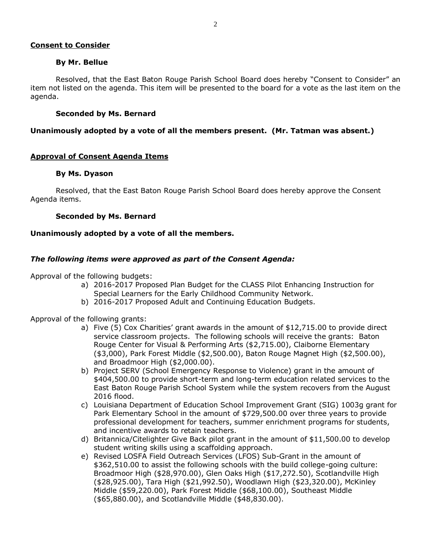# **Consent to Consider**

## **By Mr. Bellue**

Resolved, that the East Baton Rouge Parish School Board does hereby "Consent to Consider" an item not listed on the agenda. This item will be presented to the board for a vote as the last item on the agenda.

## **Seconded by Ms. Bernard**

## **Unanimously adopted by a vote of all the members present. (Mr. Tatman was absent.)**

### **Approval of Consent Agenda Items**

### **By Ms. Dyason**

Resolved, that the East Baton Rouge Parish School Board does hereby approve the Consent Agenda items.

### **Seconded by Ms. Bernard**

### **Unanimously adopted by a vote of all the members.**

## *The following items were approved as part of the Consent Agenda:*

Approval of the following budgets:

- a) 2016-2017 Proposed Plan Budget for the CLASS Pilot Enhancing Instruction for Special Learners for the Early Childhood Community Network.
- b) 2016-2017 Proposed Adult and Continuing Education Budgets.

Approval of the following grants:

- a) Five (5) Cox Charities' grant awards in the amount of \$12,715.00 to provide direct service classroom projects. The following schools will receive the grants: Baton Rouge Center for Visual & Performing Arts (\$2,715.00), Claiborne Elementary (\$3,000), Park Forest Middle (\$2,500.00), Baton Rouge Magnet High (\$2,500.00), and Broadmoor High (\$2,000.00).
- b) Project SERV (School Emergency Response to Violence) grant in the amount of \$404,500.00 to provide short-term and long-term education related services to the East Baton Rouge Parish School System while the system recovers from the August 2016 flood.
- c) Louisiana Department of Education School Improvement Grant (SIG) 1003g grant for Park Elementary School in the amount of \$729,500.00 over three years to provide professional development for teachers, summer enrichment programs for students, and incentive awards to retain teachers.
- d) Britannica/Citelighter Give Back pilot grant in the amount of \$11,500.00 to develop student writing skills using a scaffolding approach.
- e) Revised LOSFA Field Outreach Services (LFOS) Sub-Grant in the amount of \$362,510.00 to assist the following schools with the build college-going culture: Broadmoor High (\$28,970.00), Glen Oaks High (\$17,272.50), Scotlandville High (\$28,925.00), Tara High (\$21,992.50), Woodlawn High (\$23,320.00), McKinley Middle (\$59,220.00), Park Forest Middle (\$68,100.00), Southeast Middle (\$65,880.00), and Scotlandville Middle (\$48,830.00).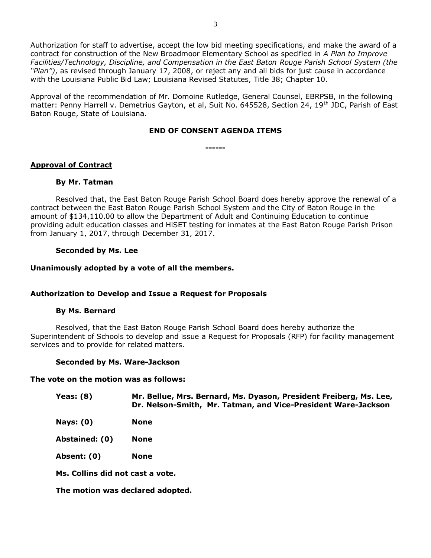Authorization for staff to advertise, accept the low bid meeting specifications, and make the award of a contract for construction of the New Broadmoor Elementary School as specified in *A Plan to Improve Facilities/Technology, Discipline, and Compensation in the East Baton Rouge Parish School System (the "Plan")*, as revised through January 17, 2008, or reject any and all bids for just cause in accordance with the Louisiana Public Bid Law; Louisiana Revised Statutes, Title 38; Chapter 10.

Approval of the recommendation of Mr. Domoine Rutledge, General Counsel, EBRPSB, in the following matter: Penny Harrell v. Demetrius Gayton, et al, Suit No. 645528, Section 24, 19<sup>th</sup> JDC, Parish of East Baton Rouge, State of Louisiana.

## **END OF CONSENT AGENDA ITEMS**

**------**

## **Approval of Contract**

### **By Mr. Tatman**

Resolved that, the East Baton Rouge Parish School Board does hereby approve the renewal of a contract between the East Baton Rouge Parish School System and the City of Baton Rouge in the amount of \$134,110.00 to allow the Department of Adult and Continuing Education to continue providing adult education classes and HiSET testing for inmates at the East Baton Rouge Parish Prison from January 1, 2017, through December 31, 2017.

### **Seconded by Ms. Lee**

### **Unanimously adopted by a vote of all the members.**

## **Authorization to Develop and Issue a Request for Proposals**

#### **By Ms. Bernard**

Resolved, that the East Baton Rouge Parish School Board does hereby authorize the Superintendent of Schools to develop and issue a Request for Proposals (RFP) for facility management services and to provide for related matters.

#### **Seconded by Ms. Ware-Jackson**

#### **The vote on the motion was as follows:**

| Yeas: (8) | Mr. Bellue, Mrs. Bernard, Ms. Dyason, President Freiberg, Ms. Lee, |
|-----------|--------------------------------------------------------------------|
|           | Dr. Nelson-Smith, Mr. Tatman, and Vice-President Ware-Jackson      |

**Nays: (0) None**

**Abstained: (0) None**

**Absent: (0) None**

**Ms. Collins did not cast a vote.**

**The motion was declared adopted.**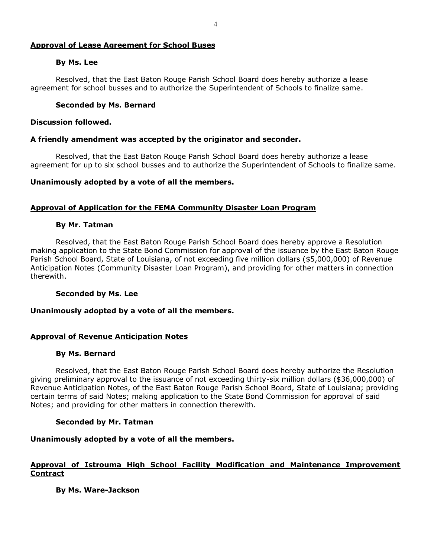## **Approval of Lease Agreement for School Buses**

### **By Ms. Lee**

Resolved, that the East Baton Rouge Parish School Board does hereby authorize a lease agreement for school busses and to authorize the Superintendent of Schools to finalize same.

## **Seconded by Ms. Bernard**

### **Discussion followed.**

### **A friendly amendment was accepted by the originator and seconder.**

Resolved, that the East Baton Rouge Parish School Board does hereby authorize a lease agreement for up to six school busses and to authorize the Superintendent of Schools to finalize same.

### **Unanimously adopted by a vote of all the members.**

### **Approval of Application for the FEMA Community Disaster Loan Program**

#### **By Mr. Tatman**

Resolved, that the East Baton Rouge Parish School Board does hereby approve a Resolution making application to the State Bond Commission for approval of the issuance by the East Baton Rouge Parish School Board, State of Louisiana, of not exceeding five million dollars (\$5,000,000) of Revenue Anticipation Notes (Community Disaster Loan Program), and providing for other matters in connection therewith.

#### **Seconded by Ms. Lee**

#### **Unanimously adopted by a vote of all the members.**

## **Approval of Revenue Anticipation Notes**

#### **By Ms. Bernard**

Resolved, that the East Baton Rouge Parish School Board does hereby authorize the Resolution giving preliminary approval to the issuance of not exceeding thirty-six million dollars (\$36,000,000) of Revenue Anticipation Notes, of the East Baton Rouge Parish School Board, State of Louisiana; providing certain terms of said Notes; making application to the State Bond Commission for approval of said Notes; and providing for other matters in connection therewith.

#### **Seconded by Mr. Tatman**

#### **Unanimously adopted by a vote of all the members.**

# **Approval of Istrouma High School Facility Modification and Maintenance Improvement Contract**

**By Ms. Ware-Jackson**